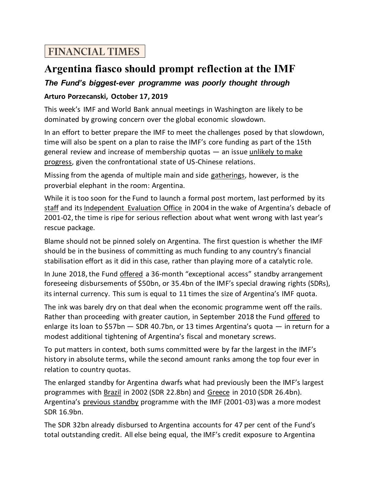## **FINANCIAL TIMES**

## **Argentina fiasco should prompt reflection at the IMF**

## *The Fund's biggest-ever programme was poorly thought through*

## **Arturo Porzecanski, October 17, 2019**

This week's IMF and World Bank annual meetings in Washington are likely to be dominated by growing concern over the global economic slowdown.

In an effort to better prepare the IMF to meet the challenges posed by that slowdown, time will also be spent on a plan to raise the IMF's core funding as part of the 15th general review and increase of membership quotas — an issu[e unlikely to make](https://www.reuters.com/article/us-imf-quotas-japan/imf-to-postpone-planned-quota-increase-due-to-u-s-resistance-source-idUSKBN1WN1GC)  [progress,](https://www.reuters.com/article/us-imf-quotas-japan/imf-to-postpone-planned-quota-increase-due-to-u-s-resistance-source-idUSKBN1WN1GC) given the confrontational state of US-Chinese relations.

Missing from the agenda of multiple main and side [gatherings,](https://meetings.imf.org/en/2019/Annual/Schedule) however, is the proverbial elephant in the room: Argentina.

While it is too soon for the Fund to launch a formal post mortem, last performed by its [staff](https://www.imf.org/~/media/Websites/IMF/imported-publications/external/pubs/nft/op/236/_op236.ashx) and it[s Independent Evaluation Office](https://www.imf.org/external/np/ieo/2004/arg/eng/pdf/report.pdf) in 2004 in the wake of Argentina's debacle of 2001-02, the time is ripe for serious reflection about what went wrong with last year's rescue package.

Blame should not be pinned solely on Argentina. The first question is whether the IMF should be in the business of committing as much funding to any country's financial stabilisation effort as it did in this case, rather than playing more of a catalytic role.

In June 2018, the Fund [offered](https://www.imf.org/en/News/Articles/2018/06/07/pr18216-argentina-imf-reaches-staff-level-agreement-with-argentina) a 36-month "exceptional access" standby arrangement foreseeing disbursements of \$50bn, or 35.4bn of the IMF's special drawing rights (SDRs), its internal currency. This sum is equal to 11 times the size of Argentina's IMF quota.

The ink was barely dry on that deal when the economic programme went off the rails. Rather than proceeding with greater caution, in September 2018 the Fund [offered](https://www.imf.org/en/News/Articles/2018/09/26/pr18362-argentina-imf-and-argentina-authorities-reach-staff-level-agreement) to enlarge its loan to \$57bn — SDR 40.7bn, or 13 times Argentina's quota — in return for a modest additional tightening of Argentina's fiscal and monetary screws.

To put matters in context, both sums committed were by far the largest in the IMF's history in absolute terms, while the second amount ranks among the top four ever in relation to country quotas.

The enlarged standby for Argentina dwarfs what had previously been the IMF's largest programmes with [Brazil](https://www.imf.org/en/News/Articles/2015/09/14/01/49/pr0240) in 2002 (SDR 22.8bn) and [Greece](https://www.imf.org/en/News/Articles/2015/09/14/01/49/pr10187) in 2010 (SDR 26.4bn). Argentina's [previous standby](https://www.imf.org/en/News/Articles/2015/09/14/01/49/pr0137) programme with the IMF (2001-03) was a more modest SDR 16.9bn.

The SDR 32bn already disbursed to Argentina accounts for 47 per cent of the Fund's total outstanding credit. All else being equal, the IMF's credit exposure to Argentina